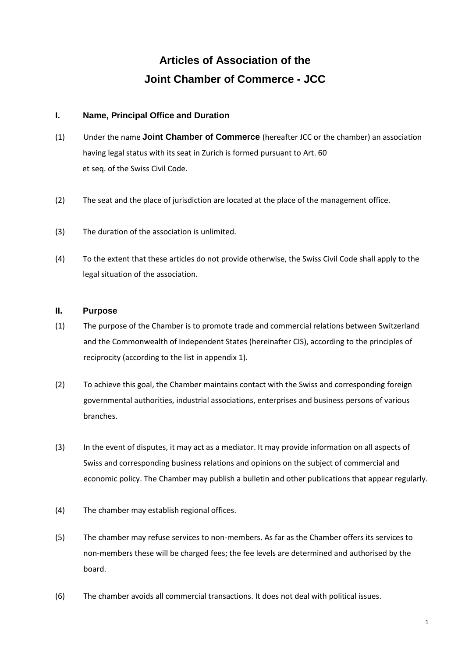# **Articles of Association of the Joint Chamber of Commerce - JCC**

## **I. Name, Principal Office and Duration**

- (1) Under the name **Joint Chamber of Commerce** (hereafter JCC or the chamber) an association having legal status with its seat in Zurich is formed pursuant to Art. 60 et seq. of the Swiss Civil Code.
- (2) The seat and the place of jurisdiction are located at the place of the management office.
- (3) The duration of the association is unlimited.
- (4) To the extent that these articles do not provide otherwise, the Swiss Civil Code shall apply to the legal situation of the association.

### **II. Purpose**

- (1) The purpose of the Chamber is to promote trade and commercial relations between Switzerland and the Commonwealth of Independent States (hereinafter CIS), according to the principles of reciprocity (according to the list in appendix 1).
- (2) To achieve this goal, the Chamber maintains contact with the Swiss and corresponding foreign governmental authorities, industrial associations, enterprises and business persons of various branches.
- (3) In the event of disputes, it may act as a mediator. It may provide information on all aspects of Swiss and corresponding business relations and opinions on the subject of commercial and economic policy. The Chamber may publish a bulletin and other publications that appear regularly.
- (4) The chamber may establish regional offices.
- (5) The chamber may refuse services to non-members. As far as the Chamber offers its services to non-members these will be charged fees; the fee levels are determined and authorised by the board.
- (6) The chamber avoids all commercial transactions. It does not deal with political issues.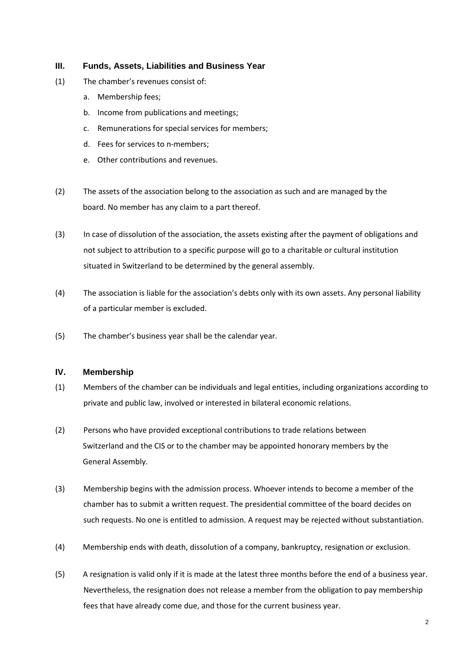#### **III. Funds, Assets, Liabilities and Business Year**

- (1) The chamber's revenues consist of:
	- a. Membership fees;
	- b. Income from publications and meetings;
	- c. Remunerations for special services for members;
	- d. Fees for services to n-members;
	- e. Other contributions and revenues.
- (2) The assets of the association belong to the association as such and are managed by the board. No member has any claim to a part thereof.
- (3) In case of dissolution of the association, the assets existing after the payment of obligations and not subject to attribution to a specific purpose will go to a charitable or cultural institution situated in Switzerland to be determined by the general assembly.
- (4) The association is liable for the association's debts only with its own assets. Any personal liability of a particular member is excluded.
- (5) The chamber's business year shall be the calendar year.

## **IV. Membership**

- (1) Members of the chamber can be individuals and legal entities, including organizations according to private and public law, involved or interested in bilateral economic relations.
- (2) Persons who have provided exceptional contributions to trade relations between Switzerland and the CIS or to the chamber may be appointed honorary members by the General Assembly.
- (3) Membership begins with the admission process. Whoever intends to become a member of the chamber has to submit a written request. The presidential committee of the board decides on such requests. No one is entitled to admission. A request may be rejected without substantiation.
- (4) Membership ends with death, dissolution of a company, bankruptcy, resignation or exclusion.
- (5) A resignation is valid only if it is made at the latest three months before the end of a business year. Nevertheless, the resignation does not release a member from the obligation to pay membership fees that have already come due, and those for the current business year.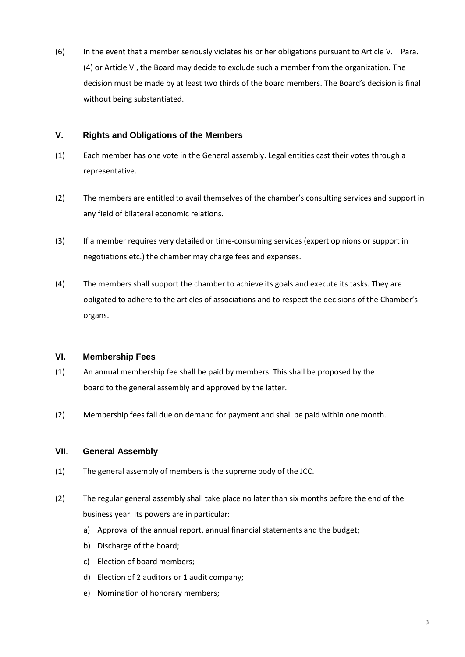(6) In the event that a member seriously violates his or her obligations pursuant to Article V. Para. (4) or Article VI, the Board may decide to exclude such a member from the organization. The decision must be made by at least two thirds of the board members. The Board's decision is final without being substantiated.

## **V. Rights and Obligations of the Members**

- (1) Each member has one vote in the General assembly. Legal entities cast their votes through a representative.
- (2) The members are entitled to avail themselves of the chamber's consulting services and support in any field of bilateral economic relations.
- (3) If a member requires very detailed or time-consuming services (expert opinions or support in negotiations etc.) the chamber may charge fees and expenses.
- (4) The members shall support the chamber to achieve its goals and execute its tasks. They are obligated to adhere to the articles of associations and to respect the decisions of the Chamber's organs.

### **VI. Membership Fees**

- (1) An annual membership fee shall be paid by members. This shall be proposed by the board to the general assembly and approved by the latter.
- (2) Membership fees fall due on demand for payment and shall be paid within one month.

# **VII. General Assembly**

- (1) The general assembly of members is the supreme body of the JCC.
- (2) The regular general assembly shall take place no later than six months before the end of the business year. Its powers are in particular:
	- a) Approval of the annual report, annual financial statements and the budget;
	- b) Discharge of the board;
	- c) Election of board members;
	- d) Election of 2 auditors or 1 audit company;
	- e) Nomination of honorary members;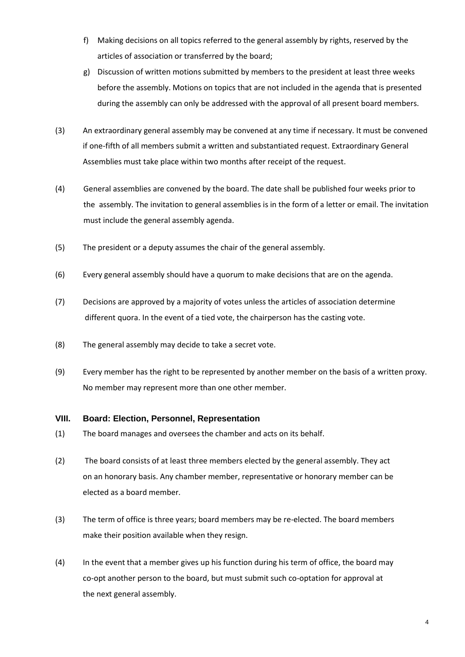- f) Making decisions on all topics referred to the general assembly by rights, reserved by the articles of association or transferred by the board;
- g) Discussion of written motions submitted by members to the president at least three weeks before the assembly. Motions on topics that are not included in the agenda that is presented during the assembly can only be addressed with the approval of all present board members.
- (3) An extraordinary general assembly may be convened at any time if necessary. It must be convened if one-fifth of all members submit a written and substantiated request. Extraordinary General Assemblies must take place within two months after receipt of the request.
- (4) General assemblies are convened by the board. The date shall be published four weeks prior to the assembly. The invitation to general assemblies is in the form of a letter or email. The invitation must include the general assembly agenda.
- (5) The president or a deputy assumes the chair of the general assembly.
- (6) Every general assembly should have a quorum to make decisions that are on the agenda.
- (7) Decisions are approved by a majority of votes unless the articles of association determine different quora. In the event of a tied vote, the chairperson has the casting vote.
- (8) The general assembly may decide to take a secret vote.
- (9) Every member has the right to be represented by another member on the basis of a written proxy. No member may represent more than one other member.

#### **VIII. Board: Election, Personnel, Representation**

- (1) The board manages and oversees the chamber and acts on its behalf.
- (2) The board consists of at least three members elected by the general assembly. They act on an honorary basis. Any chamber member, representative or honorary member can be elected as a board member.
- (3) The term of office is three years; board members may be re-elected. The board members make their position available when they resign.
- (4) In the event that a member gives up his function during his term of office, the board may co-opt another person to the board, but must submit such co-optation for approval at the next general assembly.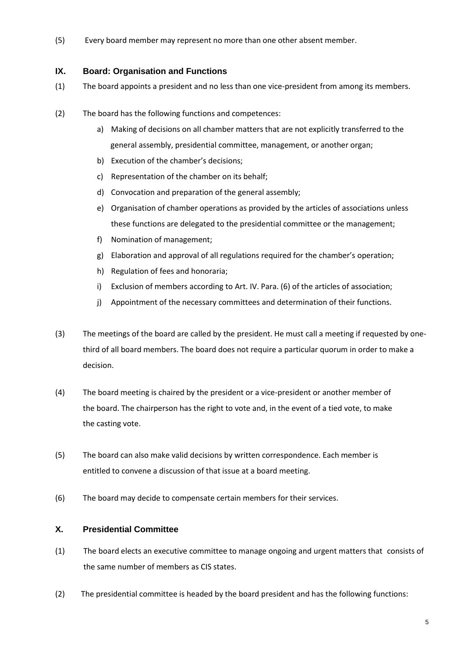(5) Every board member may represent no more than one other absent member.

## **IX. Board: Organisation and Functions**

- (1) The board appoints a president and no less than one vice-president from among its members.
- (2) The board has the following functions and competences:
	- a) Making of decisions on all chamber matters that are not explicitly transferred to the general assembly, presidential committee, management, or another organ;
	- b) Execution of the chamber's decisions;
	- c) Representation of the chamber on its behalf;
	- d) Convocation and preparation of the general assembly;
	- e) Organisation of chamber operations as provided by the articles of associations unless these functions are delegated to the presidential committee or the management;
	- f) Nomination of management;
	- g) Elaboration and approval of all regulations required for the chamber's operation;
	- h) Regulation of fees and honoraria;
	- i) Exclusion of members according to Art. IV. Para. (6) of the articles of association;
	- j) Appointment of the necessary committees and determination of their functions.
- (3) The meetings of the board are called by the president. He must call a meeting if requested by onethird of all board members. The board does not require a particular quorum in order to make a decision.
- (4) The board meeting is chaired by the president or a vice-president or another member of the board. The chairperson has the right to vote and, in the event of a tied vote, to make the casting vote.
- (5) The board can also make valid decisions by written correspondence. Each member is entitled to convene a discussion of that issue at a board meeting.
- (6) The board may decide to compensate certain members for their services.

# **X. Presidential Committee**

- (1) The board elects an executive committee to manage ongoing and urgent matters that consists of the same number of members as CIS states.
- (2) The presidential committee is headed by the board president and has the following functions: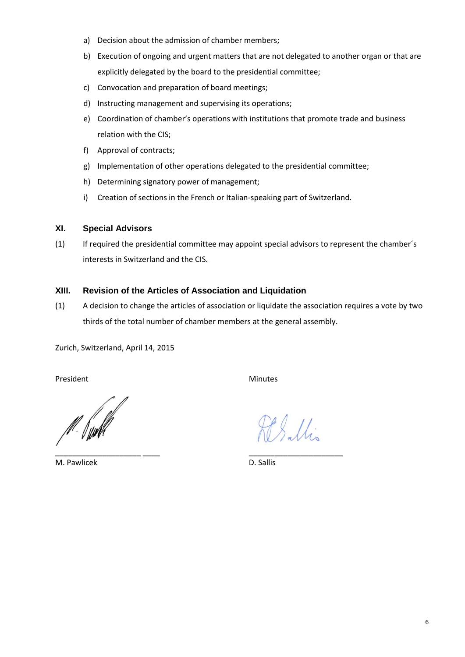- a) Decision about the admission of chamber members;
- b) Execution of ongoing and urgent matters that are not delegated to another organ or that are explicitly delegated by the board to the presidential committee;
- c) Convocation and preparation of board meetings;
- d) Instructing management and supervising its operations;
- e) Coordination of chamber's operations with institutions that promote trade and business relation with the CIS;
- f) Approval of contracts;
- g) Implementation of other operations delegated to the presidential committee;
- h) Determining signatory power of management;
- i) Creation of sections in the French or Italian-speaking part of Switzerland.

#### **XI. Special Advisors**

(1) If required the presidential committee may appoint special advisors to represent the chamber´s interests in Switzerland and the CIS.

#### **XIII. Revision of the Articles of Association and Liquidation**

(1) A decision to change the articles of association or liquidate the association requires a vote by two thirds of the total number of chamber members at the general assembly.

Zurich, Switzerland, April 14, 2015

President Minutes

\_\_\_\_\_\_\_\_\_\_\_\_\_\_\_\_\_\_\_\_ \_\_\_\_ \_\_\_\_\_\_\_\_\_\_\_\_\_\_\_\_\_\_\_\_\_\_

M. Pawlicek D. Sallis

Sallis